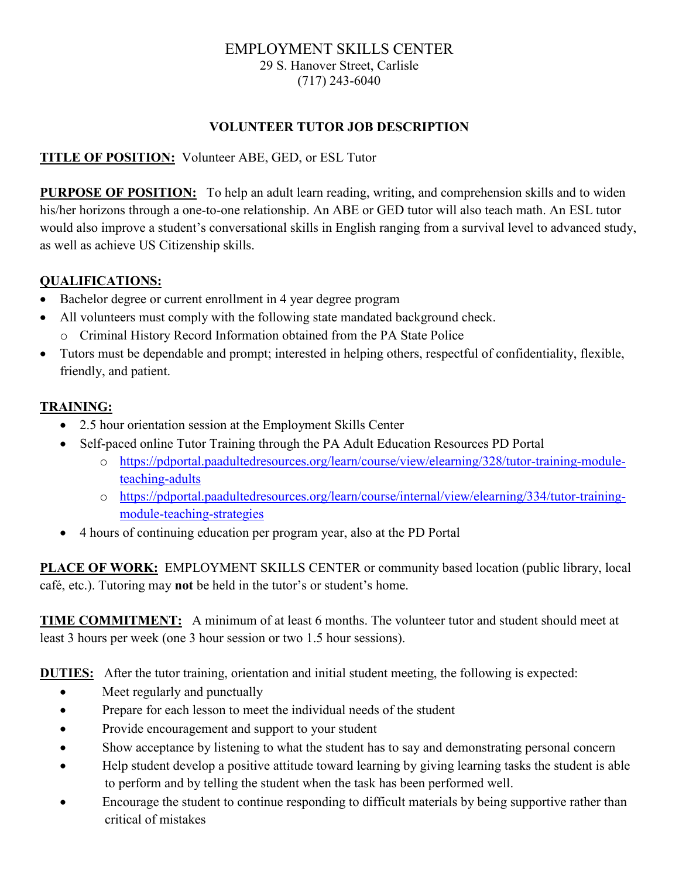#### EMPLOYMENT SKILLS CENTER 29 S. Hanover Street, Carlisle (717) 243-6040

### **VOLUNTEER TUTOR JOB DESCRIPTION**

### **TITLE OF POSITION:** Volunteer ABE, GED, or ESL Tutor

**PURPOSE OF POSITION:** To help an adult learn reading, writing, and comprehension skills and to widen his/her horizons through a one-to-one relationship. An ABE or GED tutor will also teach math. An ESL tutor would also improve a student's conversational skills in English ranging from a survival level to advanced study, as well as achieve US Citizenship skills.

#### **QUALIFICATIONS:**

- Bachelor degree or current enrollment in 4 year degree program
- All volunteers must comply with the following state mandated background check.
	- o Criminal History Record Information obtained from the PA State Police
- Tutors must be dependable and prompt; interested in helping others, respectful of confidentiality, flexible, friendly, and patient.

### **TRAINING:**

- 2.5 hour orientation session at the Employment Skills Center
- Self-paced online Tutor Training through the PA Adult Education Resources PD Portal
	- o [https://pdportal.paadultedresources.org/learn/course/view/elearning/328/tutor-training-module](https://pdportal.paadultedresources.org/learn/course/view/elearning/328/tutor-training-module-teaching-adults)[teaching-adults](https://pdportal.paadultedresources.org/learn/course/view/elearning/328/tutor-training-module-teaching-adults)
	- o [https://pdportal.paadultedresources.org/learn/course/internal/view/elearning/334/tutor-training](https://pdportal.paadultedresources.org/learn/course/internal/view/elearning/334/tutor-training-module-teaching-strategies)[module-teaching-strategies](https://pdportal.paadultedresources.org/learn/course/internal/view/elearning/334/tutor-training-module-teaching-strategies)
- 4 hours of continuing education per program year, also at the PD Portal

**PLACE OF WORK:** EMPLOYMENT SKILLS CENTER or community based location (public library, local café, etc.). Tutoring may **not** be held in the tutor's or student's home.

**TIME COMMITMENT:** A minimum of at least 6 months. The volunteer tutor and student should meet at least 3 hours per week (one 3 hour session or two 1.5 hour sessions).

**DUTIES:** After the tutor training, orientation and initial student meeting, the following is expected:

- Meet regularly and punctually
- Prepare for each lesson to meet the individual needs of the student
- Provide encouragement and support to your student
- Show acceptance by listening to what the student has to say and demonstrating personal concern
- Help student develop a positive attitude toward learning by giving learning tasks the student is able to perform and by telling the student when the task has been performed well.
- Encourage the student to continue responding to difficult materials by being supportive rather than critical of mistakes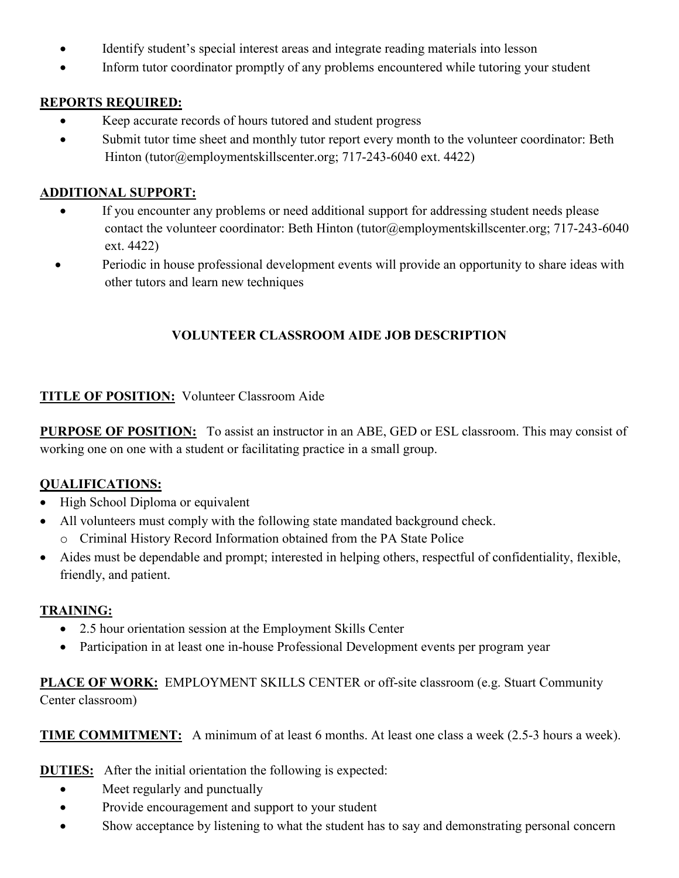- Identify student's special interest areas and integrate reading materials into lesson
- Inform tutor coordinator promptly of any problems encountered while tutoring your student

### **REPORTS REQUIRED:**

- Keep accurate records of hours tutored and student progress
- Submit tutor time sheet and monthly tutor report every month to the volunteer coordinator: Beth Hinton (tutor@employmentskillscenter.org; 717-243-6040 ext. 4422)

### **ADDITIONAL SUPPORT:**

- If you encounter any problems or need additional support for addressing student needs please contact the volunteer coordinator: Beth Hinton (tutor@employmentskillscenter.org; 717-243-6040 ext. 4422)
- Periodic in house professional development events will provide an opportunity to share ideas with other tutors and learn new techniques

### **VOLUNTEER CLASSROOM AIDE JOB DESCRIPTION**

### **TITLE OF POSITION:** Volunteer Classroom Aide

**PURPOSE OF POSITION:** To assist an instructor in an ABE, GED or ESL classroom. This may consist of working one on one with a student or facilitating practice in a small group.

### **QUALIFICATIONS:**

- High School Diploma or equivalent
- All volunteers must comply with the following state mandated background check.
	- o Criminal History Record Information obtained from the PA State Police
- Aides must be dependable and prompt; interested in helping others, respectful of confidentiality, flexible, friendly, and patient.

#### **TRAINING:**

- 2.5 hour orientation session at the Employment Skills Center
- Participation in at least one in-house Professional Development events per program year

**PLACE OF WORK:** EMPLOYMENT SKILLS CENTER or off-site classroom (e.g. Stuart Community Center classroom)

**TIME COMMITMENT:** A minimum of at least 6 months. At least one class a week (2.5-3 hours a week).

**DUTIES:** After the initial orientation the following is expected:

- Meet regularly and punctually
- Provide encouragement and support to your student
- Show acceptance by listening to what the student has to say and demonstrating personal concern